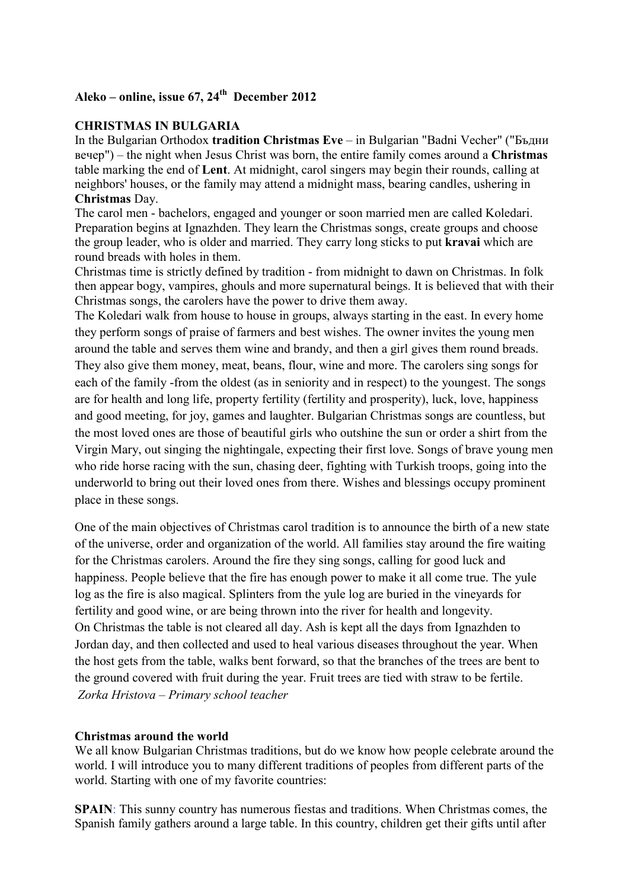# **Aleko – online, issue 67, 24th December 2012**

### **CHRISTMAS IN BULGARIA**

In the Bulgarian Orthodox **tradition Christmas Eve** – in Bulgarian "Badni Vecher" ("Бъдни вечер") – the night when Jesus Christ was born, the entire family comes around a **Christmas** table marking the end of **Lent**. At midnight, carol singers may begin their rounds, calling at neighbors' houses, or the family may attend a midnight mass, bearing candles, ushering in **Christmas** Day.

The carol men - bachelors, engaged and younger or soon married men are called Koledari. Preparation begins at Ignazhden. They learn the Christmas songs, create groups and choose the group leader, who is older and married. They carry long sticks to put **kravai** which are round breads with holes in them.

Christmas time is strictly defined by tradition - from midnight to dawn on Christmas. In folk then appear bogy, vampires, ghouls and more supernatural beings. It is believed that with their Christmas songs, the carolers have the power to drive them away.

The Koledari walk from house to house in groups, always starting in the east. In every home they perform songs of praise of farmers and best wishes. The owner invites the young men around the table and serves them wine and brandy, and then a girl gives them round breads. They also give them money, meat, beans, flour, wine and more. The carolers sing songs for each of the family -from the oldest (as in seniority and in respect) to the youngest. The songs are for health and long life, property fertility (fertility and prosperity), luck, love, happiness and good meeting, for joy, games and laughter. Bulgarian Christmas songs are countless, but the most loved ones are those of beautiful girls who outshine the sun or order a shirt from the Virgin Mary, out singing the nightingale, expecting their first love. Songs of brave young men who ride horse racing with the sun, chasing deer, fighting with Turkish troops, going into the underworld to bring out their loved ones from there. Wishes and blessings occupy prominent place in these songs.

One of the main objectives of Christmas carol tradition is to announce the birth of a new state of the universe, order and organization of the world. All families stay around the fire waiting for the Christmas carolers. Around the fire they sing songs, calling for good luck and happiness. People believe that the fire has enough power to make it all come true. The yule log as the fire is also magical. Splinters from the yule log are buried in the vineyards for fertility and good wine, or are being thrown into the river for health and longevity. On Christmas the table is not cleared all day. Ash is kept all the days from Ignazhden to Jordan day, and then collected and used to heal various diseases throughout the year. When the host gets from the table, walks bent forward, so that the branches of the trees are bent to the ground covered with fruit during the year. Fruit trees are tied with straw to be fertile. *Zorka Hristova – Primary school teacher*

#### **Christmas around the world**

We all know Bulgarian Christmas traditions, but do we know how people celebrate around the world. I will introduce you to many different traditions of peoples from different parts of the world. Starting with one of my favorite countries:

**SPAIN**: This sunny country has numerous fiestas and traditions. When Christmas comes, the Spanish family gathers around a large table. In this country, children get their gifts until after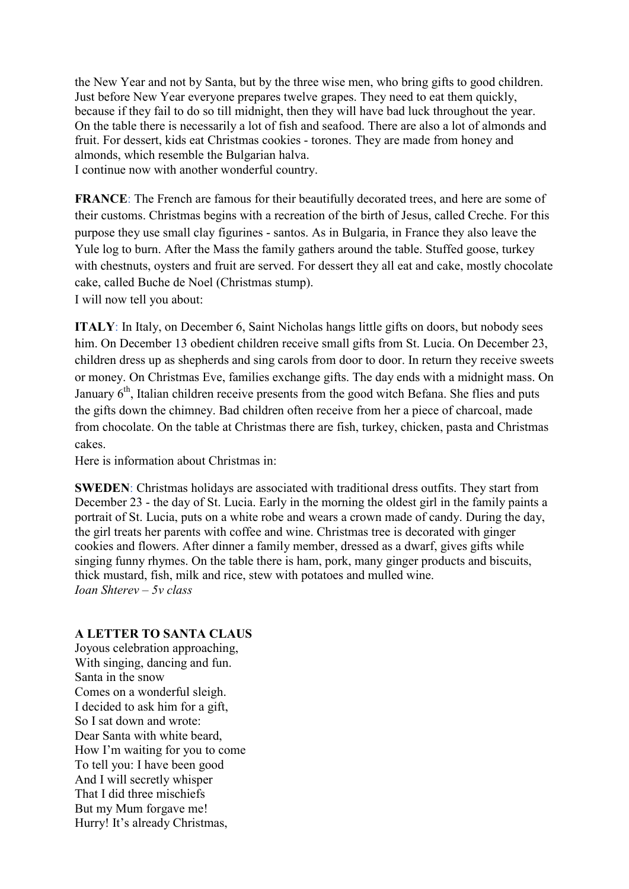the New Year and not by Santa, but by the three wise men, who bring gifts to good children. Just before New Year everyone prepares twelve grapes. They need to eat them quickly, because if they fail to do so till midnight, then they will have bad luck throughout the year. On the table there is necessarily a lot of fish and seafood. There are also a lot of almonds and fruit. For dessert, kids eat Christmas cookies - torones. They are made from honey and almonds, which resemble the Bulgarian halva.

I continue now with another wonderful country.

**FRANCE**: The French are famous for their beautifully decorated trees, and here are some of their customs. Christmas begins with a recreation of the birth of Jesus, called Creche. For this purpose they use small clay figurines - santos. As in Bulgaria, in France they also leave the Yule log to burn. After the Mass the family gathers around the table. Stuffed goose, turkey with chestnuts, oysters and fruit are served. For dessert they all eat and cake, mostly chocolate cake, called Buche de Noel (Christmas stump). I will now tell you about:

**ITALY**: In Italy, on December 6, Saint Nicholas hangs little gifts on doors, but nobody sees him. On December 13 obedient children receive small gifts from St. Lucia. On December 23, children dress up as shepherds and sing carols from door to door. In return they receive sweets or money. On Christmas Eve, families exchange gifts. The day ends with a midnight mass. On January  $6<sup>th</sup>$ , Italian children receive presents from the good witch Befana. She flies and puts the gifts down the chimney. Bad children often receive from her a piece of charcoal, made from chocolate. On the table at Christmas there are fish, turkey, chicken, pasta and Christmas cakes.

Here is information about Christmas in:

**SWEDEN**: Christmas holidays are associated with traditional dress outfits. They start from December 23 - the day of St. Lucia. Early in the morning the oldest girl in the family paints a portrait of St. Lucia, puts on a white robe and wears a crown made of candy. During the day, the girl treats her parents with coffee and wine. Christmas tree is decorated with ginger cookies and flowers. After dinner a family member, dressed as a dwarf, gives gifts while singing funny rhymes. On the table there is ham, pork, many ginger products and biscuits, thick mustard, fish, milk and rice, stew with potatoes and mulled wine. *Ioan Shterev – 5v class*

#### **A LETTER TO SANTA CLAUS**

Joyous celebration approaching, With singing, dancing and fun. Santa in the snow Comes on a wonderful sleigh. I decided to ask him for a gift, So I sat down and wrote: Dear Santa with white beard, How I'm waiting for you to come To tell you: I have been good And I will secretly whisper That I did three mischiefs But my Mum forgave me! Hurry! It's already Christmas,